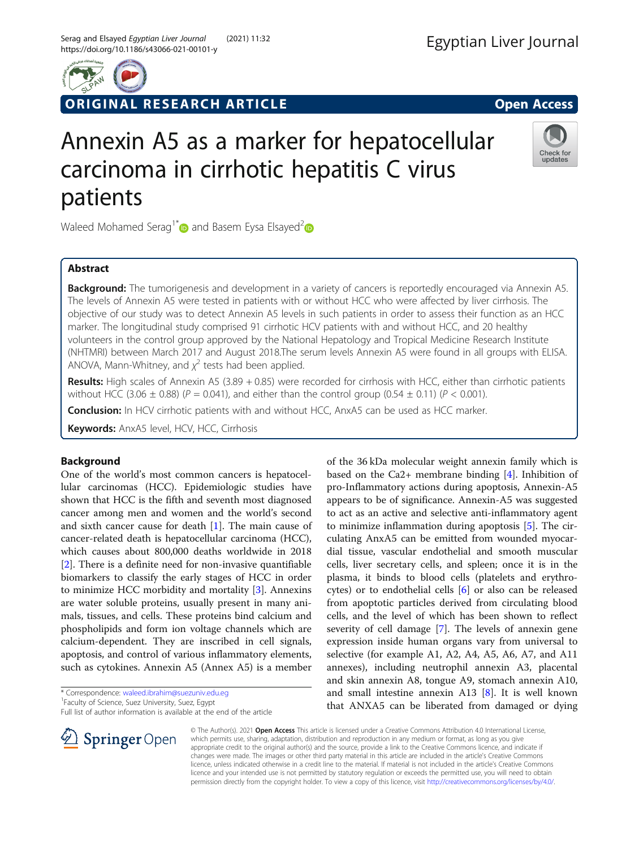

ORIGINAL RESEARCH ARTICLE **CONSIDERING OPEN ACCESS** 

Check for updates

# Annexin A5 as a marker for hepatocellular carcinoma in cirrhotic hepatitis C virus patients

Waleed Mohamed Serag<sup>1\*</sup> and Basem Eysa Elsayed<sup>2</sup>

# Abstract

Background: The tumorigenesis and development in a variety of cancers is reportedly encouraged via Annexin A5. The levels of Annexin A5 were tested in patients with or without HCC who were affected by liver cirrhosis. The objective of our study was to detect Annexin A5 levels in such patients in order to assess their function as an HCC marker. The longitudinal study comprised 91 cirrhotic HCV patients with and without HCC, and 20 healthy volunteers in the control group approved by the National Hepatology and Tropical Medicine Research Institute (NHTMRI) between March 2017 and August 2018.The serum levels Annexin A5 were found in all groups with ELISA. ANOVA, Mann-Whitney, and  $\chi^2$  tests had been applied.

Results: High scales of Annexin A5 (3.89 + 0.85) were recorded for cirrhosis with HCC, either than cirrhotic patients without HCC (3.06  $\pm$  0.88) (P = 0.041), and either than the control group (0.54  $\pm$  0.11) (P < 0.001).

**Conclusion:** In HCV cirrhotic patients with and without HCC, AnxA5 can be used as HCC marker.

Keywords: AnxA5 level, HCV, HCC, Cirrhosis

# Background

One of the world's most common cancers is hepatocellular carcinomas (HCC). Epidemiologic studies have shown that HCC is the fifth and seventh most diagnosed cancer among men and women and the world's second and sixth cancer cause for death [[1\]](#page-4-0). The main cause of cancer-related death is hepatocellular carcinoma (HCC), which causes about 800,000 deaths worldwide in 2018 [[2\]](#page-4-0). There is a definite need for non-invasive quantifiable biomarkers to classify the early stages of HCC in order to minimize HCC morbidity and mortality [\[3](#page-4-0)]. Annexins are water soluble proteins, usually present in many animals, tissues, and cells. These proteins bind calcium and phospholipids and form ion voltage channels which are calcium-dependent. They are inscribed in cell signals, apoptosis, and control of various inflammatory elements, such as cytokines. Annexin A5 (Annex A5) is a member

<sup>&</sup>lt;sup>1</sup>Faculty of Science, Suez University, Suez, Egypt Full list of author information is available at the end of the article



of the 36 kDa molecular weight annexin family which is based on the Ca2+ membrane binding  $[4]$  $[4]$  $[4]$ . Inhibition of pro-Inflammatory actions during apoptosis, Annexin-A5 appears to be of significance. Annexin-A5 was suggested to act as an active and selective anti-inflammatory agent to minimize inflammation during apoptosis [\[5](#page-4-0)]. The circulating AnxA5 can be emitted from wounded myocardial tissue, vascular endothelial and smooth muscular cells, liver secretary cells, and spleen; once it is in the plasma, it binds to blood cells (platelets and erythrocytes) or to endothelial cells [\[6](#page-4-0)] or also can be released from apoptotic particles derived from circulating blood cells, and the level of which has been shown to reflect severity of cell damage [\[7](#page-4-0)]. The levels of annexin gene expression inside human organs vary from universal to selective (for example A1, A2, A4, A5, A6, A7, and A11 annexes), including neutrophil annexin A3, placental and skin annexin A8, tongue A9, stomach annexin A10, and small intestine annexin A13 [\[8](#page-4-0)]. It is well known that ANXA5 can be liberated from damaged or dying

© The Author(s). 2021 Open Access This article is licensed under a Creative Commons Attribution 4.0 International License, which permits use, sharing, adaptation, distribution and reproduction in any medium or format, as long as you give appropriate credit to the original author(s) and the source, provide a link to the Creative Commons licence, and indicate if changes were made. The images or other third party material in this article are included in the article's Creative Commons licence, unless indicated otherwise in a credit line to the material. If material is not included in the article's Creative Commons licence and your intended use is not permitted by statutory regulation or exceeds the permitted use, you will need to obtain permission directly from the copyright holder. To view a copy of this licence, visit <http://creativecommons.org/licenses/by/4.0/>.

<sup>\*</sup> Correspondence: [waleed.ibrahim@suezuniv.edu.eg](mailto:waleed.ibrahim@suezuniv.edu.eg) <sup>1</sup>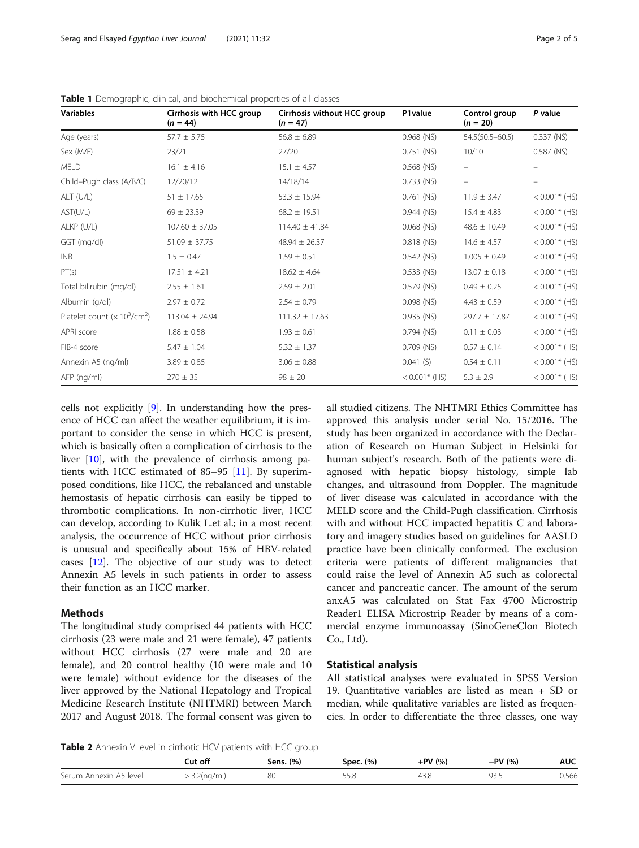| <b>Variables</b>               | Cirrhosis with HCC group<br>$(n = 44)$ | Cirrhosis without HCC group<br>$(n = 47)$ | P1value          | Control group<br>$(n = 20)$ | P value           |
|--------------------------------|----------------------------------------|-------------------------------------------|------------------|-----------------------------|-------------------|
| Age (years)                    | $57.7 \pm 5.75$                        | $56.8 \pm 6.89$                           | $0.968$ (NS)     | $54.5(50.5 - 60.5)$         | $0.337$ (NS)      |
| Sex (M/F)                      | 23/21                                  | 27/20                                     | $0.751$ (NS)     | 10/10                       | $0.587$ (NS)      |
| <b>MELD</b>                    | $16.1 \pm 4.16$                        | $15.1 \pm 4.57$                           | $0.568$ (NS)     |                             |                   |
| Child-Pugh class (A/B/C)       | 12/20/12                               | 14/18/14                                  | $0.733$ (NS)     | $\qquad \qquad -$           | $\qquad \qquad =$ |
| ALT (U/L)                      | $51 \pm 17.65$                         | $53.3 \pm 15.94$                          | $0.761$ (NS)     | $11.9 \pm 3.47$             | $< 0.001$ * (HS)  |
| AST(U/L)                       | $69 \pm 23.39$                         | $68.2 \pm 19.51$                          | $0.944$ (NS)     | $15.4 \pm 4.83$             | $< 0.001$ * (HS)  |
| ALKP (U/L)                     | $107.60 \pm 37.05$                     | $114.40 \pm 41.84$                        | $0.068$ (NS)     | $48.6 \pm 10.49$            | $< 0.001$ * (HS)  |
| GGT (mg/dl)                    | $51.09 \pm 37.75$                      | $48.94 \pm 26.37$                         | 0.818 (NS)       | $14.6 \pm 4.57$             | $< 0.001$ * (HS)  |
| <b>INR</b>                     | $1.5 \pm 0.47$                         | $1.59 \pm 0.51$                           | 0.542 (NS)       | $1.005 \pm 0.49$            | $< 0.001$ * (HS)  |
| PT(s)                          | $17.51 \pm 4.21$                       | $18.62 \pm 4.64$                          | 0.533 (NS)       | $13.07 \pm 0.18$            | $< 0.001$ * (HS)  |
| Total bilirubin (mg/dl)        | $2.55 \pm 1.61$                        | $2.59 \pm 2.01$                           | 0.579 (NS)       | $0.49 \pm 0.25$             | $< 0.001$ * (HS)  |
| Albumin (g/dl)                 | $2.97 \pm 0.72$                        | $2.54 \pm 0.79$                           | $0.098$ (NS)     | $4.43 \pm 0.59$             | $< 0.001$ * (HS)  |
| Platelet count $(x 10^3/cm^2)$ | $113.04 \pm 24.94$                     | $111.32 \pm 17.63$                        | 0.935 (NS)       | $297.7 \pm 17.87$           | $< 0.001$ * (HS)  |
| APRI score                     | $1.88 \pm 0.58$                        | $1.93 \pm 0.61$                           | $0.794$ (NS)     | $0.11 \pm 0.03$             | $< 0.001$ * (HS)  |
| FIB-4 score                    | $5.47 \pm 1.04$                        | $5.32 \pm 1.37$                           | $0.709$ (NS)     | $0.57 \pm 0.14$             | $< 0.001$ * (HS)  |
| Annexin A5 (ng/ml)             | $3.89 \pm 0.85$                        | $3.06 \pm 0.88$                           | 0.041(S)         | $0.54 \pm 0.11$             | $< 0.001$ * (HS)  |
| AFP (ng/ml)                    | $270 \pm 35$                           | $98 \pm 20$                               | $< 0.001$ * (HS) | $5.3 \pm 2.9$               | $< 0.001$ * (HS)  |

<span id="page-1-0"></span>Table 1 Demographic, clinical, and biochemical properties of all classes

cells not explicitly [[9\]](#page-4-0). In understanding how the presence of HCC can affect the weather equilibrium, it is important to consider the sense in which HCC is present, which is basically often a complication of cirrhosis to the liver [[10](#page-4-0)], with the prevalence of cirrhosis among patients with HCC estimated of 85–95  $[11]$  $[11]$ . By superimposed conditions, like HCC, the rebalanced and unstable hemostasis of hepatic cirrhosis can easily be tipped to thrombotic complications. In non-cirrhotic liver, HCC can develop, according to Kulik L.et al.; in a most recent analysis, the occurrence of HCC without prior cirrhosis is unusual and specifically about 15% of HBV-related cases [\[12](#page-4-0)]. The objective of our study was to detect Annexin A5 levels in such patients in order to assess their function as an HCC marker.

### Methods

The longitudinal study comprised 44 patients with HCC cirrhosis (23 were male and 21 were female), 47 patients without HCC cirrhosis (27 were male and 20 are female), and 20 control healthy (10 were male and 10 were female) without evidence for the diseases of the liver approved by the National Hepatology and Tropical Medicine Research Institute (NHTMRI) between March 2017 and August 2018. The formal consent was given to all studied citizens. The NHTMRI Ethics Committee has approved this analysis under serial No. 15/2016. The study has been organized in accordance with the Declaration of Research on Human Subject in Helsinki for human subject's research. Both of the patients were diagnosed with hepatic biopsy histology, simple lab changes, and ultrasound from Doppler. The magnitude of liver disease was calculated in accordance with the MELD score and the Child-Pugh classification. Cirrhosis with and without HCC impacted hepatitis C and laboratory and imagery studies based on guidelines for AASLD practice have been clinically conformed. The exclusion criteria were patients of different malignancies that could raise the level of Annexin A5 such as colorectal cancer and pancreatic cancer. The amount of the serum anxA5 was calculated on Stat Fax 4700 Microstrip Reader1 ELISA Microstrip Reader by means of a commercial enzyme immunoassay (SinoGeneClon Biotech Co., Ltd).

#### Statistical analysis

All statistical analyses were evaluated in SPSS Version 19. Quantitative variables are listed as mean + SD or median, while qualitative variables are listed as frequencies. In order to differentiate the three classes, one way

Table 2 Annexin V level in cirrhotic HCV patients with HCC group

|                        | Cut off    | Sens. (%) | Spec. (%) | $+PV(%)$ | $-PV(% )$ | <b>AUC</b> |
|------------------------|------------|-----------|-----------|----------|-----------|------------|
| Serum Annexin A5 level | 3.2(ng/ml) | 80        | 33.O      | 43.8     | -93.5     | 0.566      |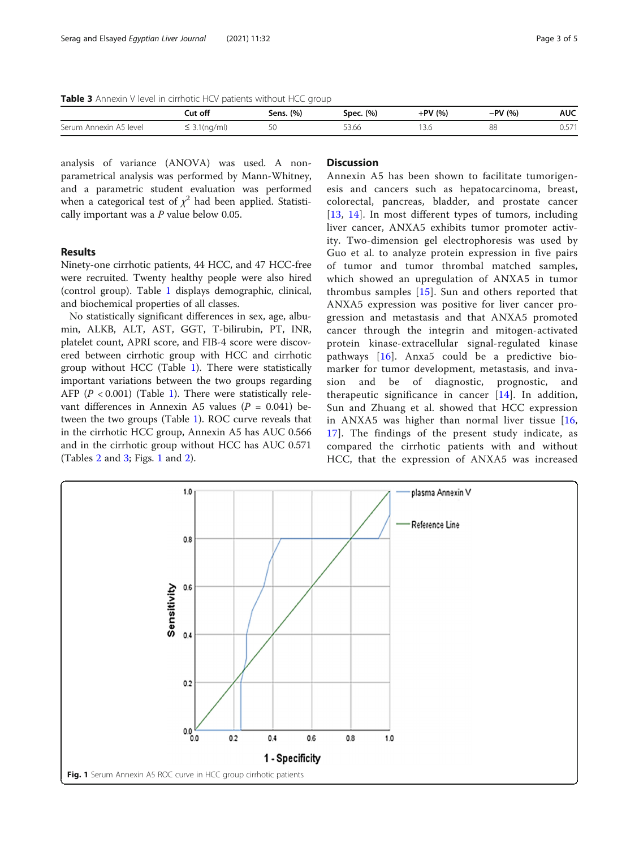Table 3 Annexin V level in cirrhotic HCV patients without HCC group

|                                             | Cut off        | Sens. (%) | Spec. (%)        | +PV (%) | $-PV(% )$ | <b>AUC</b> |
|---------------------------------------------|----------------|-----------|------------------|---------|-----------|------------|
| Serum<br>, level<br>. Annexin<br>$\Delta$ 5 | (nq/ml)<br>. ت | 5C        | $ \sim$<br>53.00 | 1 3.C   | 88        | U.J 1      |

analysis of variance (ANOVA) was used. A nonparametrical analysis was performed by Mann-Whitney, and a parametric student evaluation was performed when a categorical test of  $\chi^2$  had been applied. Statistically important was a P value below 0.05.

#### Results

Ninety-one cirrhotic patients, 44 HCC, and 47 HCC-free were recruited. Twenty healthy people were also hired (control group). Table [1](#page-1-0) displays demographic, clinical, and biochemical properties of all classes.

No statistically significant differences in sex, age, albumin, ALKB, ALT, AST, GGT, T-bilirubin, PT, INR, platelet count, APRI score, and FIB-4 score were discovered between cirrhotic group with HCC and cirrhotic group without HCC (Table [1\)](#page-1-0). There were statistically important variations between the two groups regarding AFP ( $P < 0.001$  $P < 0.001$ ) (Table 1). There were statistically relevant differences in Annexin A5 values ( $P = 0.041$ ) between the two groups (Table [1](#page-1-0)). ROC curve reveals that in the cirrhotic HCC group, Annexin A5 has AUC 0.566 and in the cirrhotic group without HCC has AUC 0.571 (Tables [2](#page-1-0) and 3; Figs. 1 and [2](#page-3-0)).

## **Discussion**

Annexin A5 has been shown to facilitate tumorigenesis and cancers such as hepatocarcinoma, breast, colorectal, pancreas, bladder, and prostate cancer [[13](#page-4-0), [14\]](#page-4-0). In most different types of tumors, including liver cancer, ANXA5 exhibits tumor promoter activity. Two-dimension gel electrophoresis was used by Guo et al. to analyze protein expression in five pairs of tumor and tumor thrombal matched samples, which showed an upregulation of ANXA5 in tumor thrombus samples [[15](#page-4-0)]. Sun and others reported that ANXA5 expression was positive for liver cancer progression and metastasis and that ANXA5 promoted cancer through the integrin and mitogen-activated protein kinase-extracellular signal-regulated kinase pathways [\[16\]](#page-4-0). Anxa5 could be a predictive biomarker for tumor development, metastasis, and invasion and be of diagnostic, prognostic, and therapeutic significance in cancer  $[14]$  $[14]$  $[14]$ . In addition, Sun and Zhuang et al. showed that HCC expression in ANXA5 was higher than normal liver tissue  $[16,$  $[16,$ [17\]](#page-4-0). The findings of the present study indicate, as compared the cirrhotic patients with and without HCC, that the expression of ANXA5 was increased

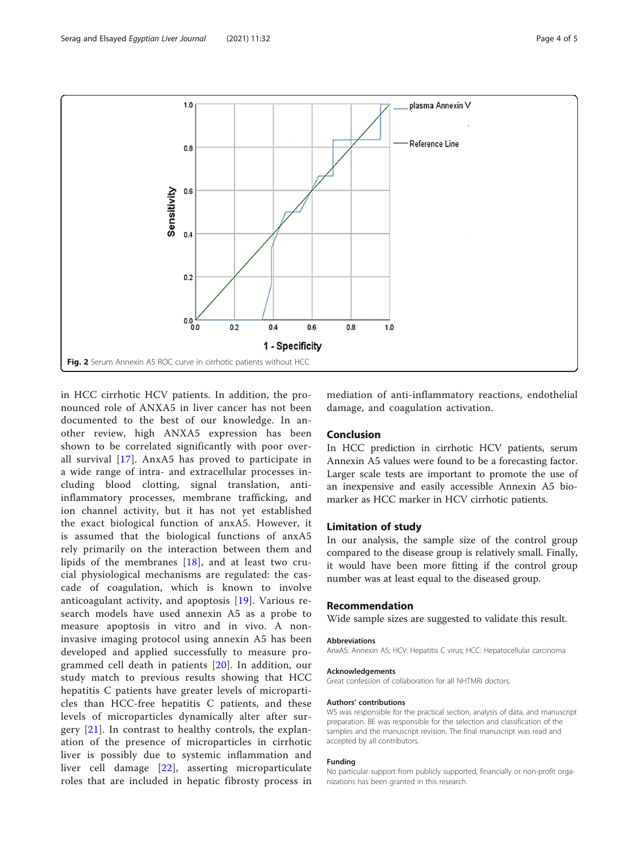<span id="page-3-0"></span>

in HCC cirrhotic HCV patients. In addition, the pronounced role of ANXA5 in liver cancer has not been documented to the best of our knowledge. In another review, high ANXA5 expression has been shown to be correlated significantly with poor overall survival [[17](#page-4-0)]. AnxA5 has proved to participate in a wide range of intra- and extracellular processes including blood clotting, signal translation, antiinflammatory processes, membrane trafficking, and ion channel activity, but it has not yet established the exact biological function of anxA5. However, it is assumed that the biological functions of anxA5 rely primarily on the interaction between them and lipids of the membranes [[18](#page-4-0)], and at least two crucial physiological mechanisms are regulated: the cascade of coagulation, which is known to involve anticoagulant activity, and apoptosis [[19](#page-4-0)]. Various research models have used annexin A5 as a probe to measure apoptosis in vitro and in vivo. A noninvasive imaging protocol using annexin A5 has been developed and applied successfully to measure programmed cell death in patients [[20](#page-4-0)]. In addition, our study match to previous results showing that HCC hepatitis C patients have greater levels of microparticles than HCC-free hepatitis C patients, and these levels of microparticles dynamically alter after surgery [[21](#page-4-0)]. In contrast to healthy controls, the explanation of the presence of microparticles in cirrhotic liver is possibly due to systemic inflammation and liver cell damage [[22\]](#page-4-0), asserting microparticulate roles that are included in hepatic fibrosty process in

mediation of anti-inflammatory reactions, endothelial damage, and coagulation activation.

### Conclusion

In HCC prediction in cirrhotic HCV patients, serum Annexin A5 values were found to be a forecasting factor. Larger scale tests are important to promote the use of an inexpensive and easily accessible Annexin A5 biomarker as HCC marker in HCV cirrhotic patients.

#### Limitation of study

In our analysis, the sample size of the control group compared to the disease group is relatively small. Finally, it would have been more fitting if the control group number was at least equal to the diseased group.

#### Recommendation

Wide sample sizes are suggested to validate this result.

#### Abbreviations

AnxA5: Annexin A5; HCV: Hepatitis C virus; HCC: Hepatocellular carcinoma

#### Acknowledgements

Great confession of collaboration for all NHTMRI doctors.

#### Authors' contributions

WS was responsible for the practical section, analysis of data, and manuscript preparation. BE was responsible for the selection and classification of the samples and the manuscript revision. The final manuscript was read and accepted by all contributors.

#### Funding

No particular support from publicly supported, financially or non-profit organizations has been granted in this research.